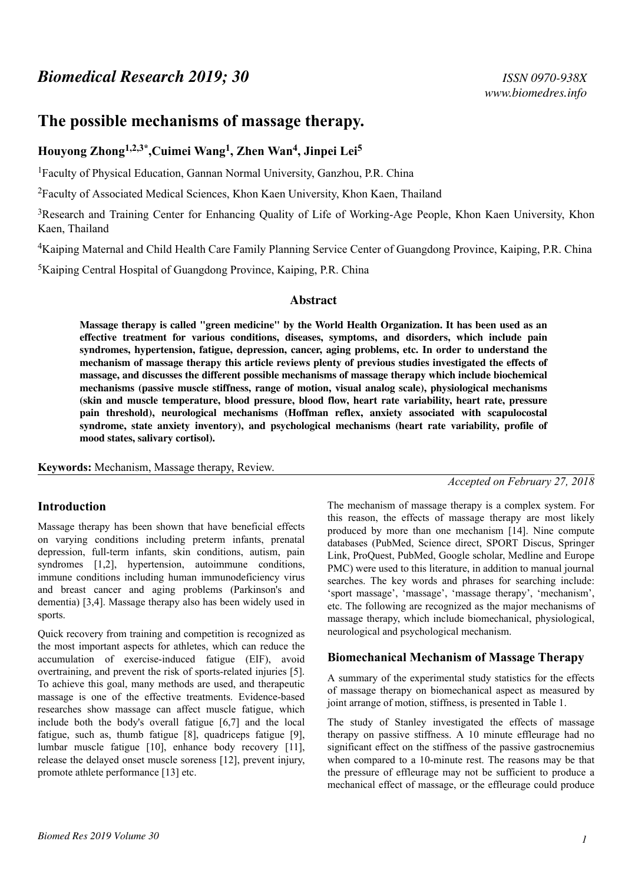# **The possible mechanisms of massage therapy.**

# **Houyong Zhong1,2,3\*,Cuimei Wang<sup>1</sup> , Zhen Wan<sup>4</sup> , Jinpei Lei<sup>5</sup>**

<sup>1</sup>Faculty of Physical Education, Gannan Normal University, Ganzhou, P.R. China

<sup>2</sup>Faculty of Associated Medical Sciences, Khon Kaen University, Khon Kaen, Thailand

<sup>3</sup>Research and Training Center for Enhancing Quality of Life of Working-Age People, Khon Kaen University, Khon Kaen, Thailand

<sup>4</sup>Kaiping Maternal and Child Health Care Family Planning Service Center of Guangdong Province, Kaiping, P.R. China

<sup>5</sup>Kaiping Central Hospital of Guangdong Province, Kaiping, P.R. China

#### **Abstract**

**Massage therapy is called "green medicine" by the World Health Organization. It has been used as an effective treatment for various conditions, diseases, symptoms, and disorders, which include pain syndromes, hypertension, fatigue, depression, cancer, aging problems, etc. In order to understand the mechanism of massage therapy this article reviews plenty of previous studies investigated the effects of massage, and discusses the different possible mechanisms of massage therapy which include biochemical mechanisms (passive muscle stiffness, range of motion, visual analog scale), physiological mechanisms (skin and muscle temperature, blood pressure, blood flow, heart rate variability, heart rate, pressure pain threshold), neurological mechanisms (Hoffman reflex, anxiety associated with scapulocostal syndrome, state anxiety inventory), and psychological mechanisms (heart rate variability, profile of mood states, salivary cortisol).**

**Keywords:** Mechanism, Massage therapy, Review.

### **Introduction**

Massage therapy has been shown that have beneficial effects on varying conditions including preterm infants, prenatal depression, full-term infants, skin conditions, autism, pain syndromes [1,2], hypertension, autoimmune conditions, immune conditions including human immunodeficiency virus and breast cancer and aging problems (Parkinson's and dementia) [3,4]. Massage therapy also has been widely used in sports.

Quick recovery from training and competition is recognized as the most important aspects for athletes, which can reduce the accumulation of exercise-induced fatigue (EIF), avoid overtraining, and prevent the risk of sports-related injuries [5]. To achieve this goal, many methods are used, and therapeutic massage is one of the effective treatments. Evidence-based researches show massage can affect muscle fatigue, which include both the body's overall fatigue [6,7] and the local fatigue, such as, thumb fatigue [8], quadriceps fatigue [9], lumbar muscle fatigue [10], enhance body recovery [11], release the delayed onset muscle soreness [12], prevent injury, promote athlete performance [13] etc.

*Accepted on February 27, 2018*

The mechanism of massage therapy is a complex system. For this reason, the effects of massage therapy are most likely produced by more than one mechanism [14]. Nine compute databases (PubMed, Science direct, SPORT Discus, Springer Link, ProQuest, PubMed, Google scholar, Medline and Europe PMC) were used to this literature, in addition to manual journal searches. The key words and phrases for searching include: 'sport massage', 'massage', 'massage therapy', 'mechanism', etc. The following are recognized as the major mechanisms of massage therapy, which include biomechanical, physiological, neurological and psychological mechanism.

### **Biomechanical Mechanism of Massage Therapy**

A summary of the experimental study statistics for the effects of massage therapy on biomechanical aspect as measured by joint arrange of motion, stiffness, is presented in Table 1.

The study of Stanley investigated the effects of massage therapy on passive stiffness. A 10 minute effleurage had no significant effect on the stiffness of the passive gastrocnemius when compared to a 10-minute rest. The reasons may be that the pressure of effleurage may not be sufficient to produce a mechanical effect of massage, or the effleurage could produce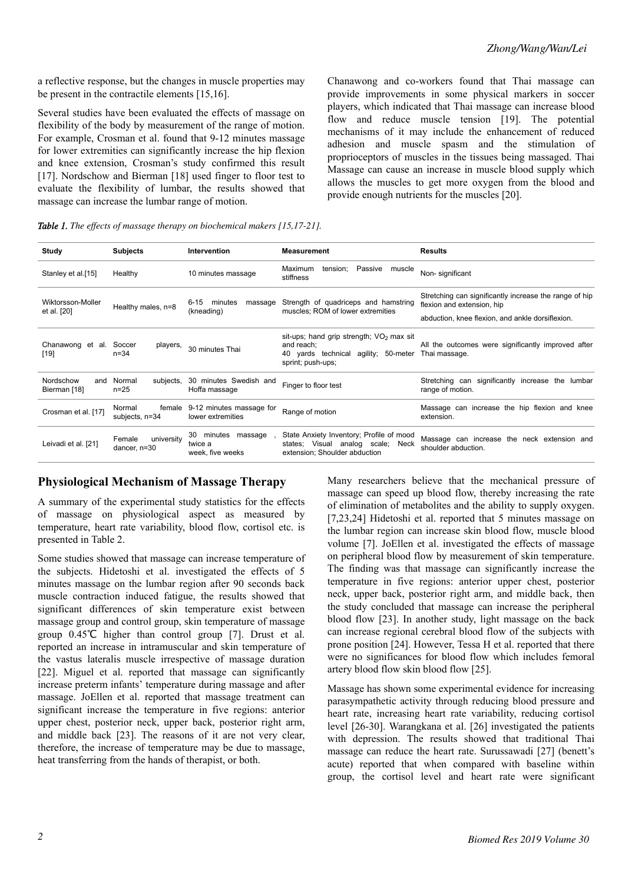a reflective response, but the changes in muscle properties may be present in the contractile elements [15,16].

Several studies have been evaluated the effects of massage on flexibility of the body by measurement of the range of motion. For example, Crosman et al. found that 9-12 minutes massage for lower extremities can significantly increase the hip flexion and knee extension, Crosman's study confirmed this result [17]. Nordschow and Bierman [18] used finger to floor test to evaluate the flexibility of lumbar, the results showed that massage can increase the lumbar range of motion.

Chanawong and co-workers found that Thai massage can provide improvements in some physical markers in soccer players, which indicated that Thai massage can increase blood flow and reduce muscle tension [19]. The potential mechanisms of it may include the enhancement of reduced adhesion and muscle spasm and the stimulation of proprioceptors of muscles in the tissues being massaged. Thai Massage can cause an increase in muscle blood supply which allows the muscles to get more oxygen from the blood and provide enough nutrients for the muscles [20].

*Table 1. The effects of massage therapy on biochemical makers [15,17-21].*

| Study                            | <b>Subjects</b>                        | Intervention                                                                                                                                | <b>Measurement</b>                                                                                             | <b>Results</b>                                                                       |
|----------------------------------|----------------------------------------|---------------------------------------------------------------------------------------------------------------------------------------------|----------------------------------------------------------------------------------------------------------------|--------------------------------------------------------------------------------------|
| Stanley et al.[15]               | Healthy                                | 10 minutes massage                                                                                                                          | tension; Passive<br>Maximum<br>muscle<br>stiffness                                                             | Non-significant                                                                      |
| Wiktorsson-Moller<br>et al. [20] | Healthy males, n=8                     | $6 - 15$<br>minutes<br>massage<br>(kneading)                                                                                                | Strength of quadriceps and hamstring<br>muscles; ROM of lower extremities                                      | Stretching can significantly increase the range of hip<br>flexion and extension, hip |
|                                  |                                        |                                                                                                                                             |                                                                                                                | abduction, knee flexion, and ankle dorsiflexion.                                     |
| Chanawong et al. Soccer<br>[19]  | players,<br>$n = 34$                   | sit-ups; hand grip strength; $VO2$ max sit<br>and reach;<br>30 minutes Thai<br>40 yards technical<br>agility; 50-meter<br>sprint; push-ups; |                                                                                                                | All the outcomes were significantly improved after<br>Thai massage.                  |
| Nordschow<br>Bierman [18]        | and Normal<br>subjects,<br>$n = 25$    | 30 minutes Swedish and<br>Hoffa massage                                                                                                     | Finger to floor test                                                                                           | Stretching can significantly increase the<br>lumbar<br>range of motion.              |
| Crosman et al. [17]              | Normal<br>subjects, n=34               | female 9-12 minutes massage for<br>lower extremities                                                                                        | Range of motion                                                                                                | Massage can increase the hip flexion and knee<br>extension.                          |
| Leivadi et al. [21]              | university<br>Female<br>dancer, $n=30$ | minutes massage,<br>30<br>twice a<br>week, five weeks                                                                                       | State Anxiety Inventory; Profile of mood<br>states; Visual analog scale; Neck<br>extension; Shoulder abduction | Massage can increase the neck extension and<br>shoulder abduction.                   |

### **Physiological Mechanism of Massage Therapy**

A summary of the experimental study statistics for the effects of massage on physiological aspect as measured by temperature, heart rate variability, blood flow, cortisol etc. is presented in Table 2.

Some studies showed that massage can increase temperature of the subjects. Hidetoshi et al. investigated the effects of 5 minutes massage on the lumbar region after 90 seconds back muscle contraction induced fatigue, the results showed that significant differences of skin temperature exist between massage group and control group, skin temperature of massage group 0.45℃ higher than control group [7]. Drust et al. reported an increase in intramuscular and skin temperature of the vastus lateralis muscle irrespective of massage duration [22]. Miguel et al. reported that massage can significantly increase preterm infants' temperature during massage and after massage. JoEllen et al. reported that massage treatment can significant increase the temperature in five regions: anterior upper chest, posterior neck, upper back, posterior right arm, and middle back [23]. The reasons of it are not very clear, therefore, the increase of temperature may be due to massage, heat transferring from the hands of therapist, or both.

Many researchers believe that the mechanical pressure of massage can speed up blood flow, thereby increasing the rate of elimination of metabolites and the ability to supply oxygen. [7,23,24] Hidetoshi et al. reported that 5 minutes massage on the lumbar region can increase skin blood flow, muscle blood volume [7]. JoEllen et al. investigated the effects of massage on peripheral blood flow by measurement of skin temperature. The finding was that massage can significantly increase the temperature in five regions: anterior upper chest, posterior neck, upper back, posterior right arm, and middle back, then the study concluded that massage can increase the peripheral blood flow [23]. In another study, light massage on the back can increase regional cerebral blood flow of the subjects with prone position [24]. However, Tessa H et al. reported that there were no significances for blood flow which includes femoral artery blood flow skin blood flow [25].

Massage has shown some experimental evidence for increasing parasympathetic activity through reducing blood pressure and heart rate, increasing heart rate variability, reducing cortisol level [26-30]. Warangkana et al. [26] investigated the patients with depression. The results showed that traditional Thai massage can reduce the heart rate. Surussawadi [27] (benett's acute) reported that when compared with baseline within group, the cortisol level and heart rate were significant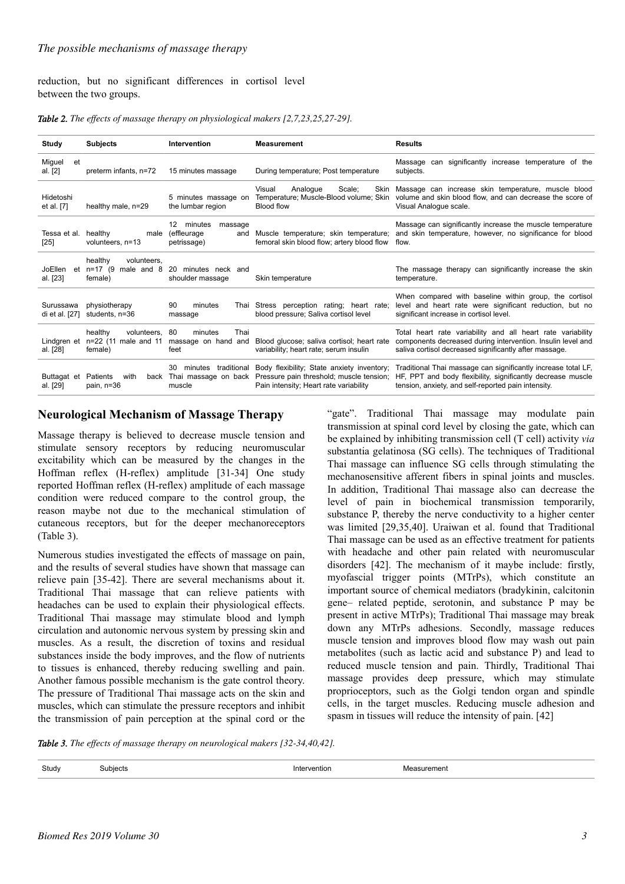reduction, but no significant differences in cortisol level between the two groups.

*Table 2. The effects of massage therapy on physiological makers [2,7,23,25,27-29].*

| Study                            | <b>Subjects</b>                                              | Intervention                                                  | <b>Measurement</b>                                                                                                                                    | <b>Results</b>                                                                                                                                                                         |
|----------------------------------|--------------------------------------------------------------|---------------------------------------------------------------|-------------------------------------------------------------------------------------------------------------------------------------------------------|----------------------------------------------------------------------------------------------------------------------------------------------------------------------------------------|
| Miguel<br>et<br>al. [2]          | preterm infants, n=72                                        | 15 minutes massage                                            | During temperature; Post temperature                                                                                                                  | Massage can significantly increase temperature of the<br>subjects.                                                                                                                     |
| Hidetoshi<br>et al. [7]          | healthy male, n=29                                           | 5 minutes massage on<br>the lumbar region                     | Scale;<br>Analogue<br>Visual<br>Blood flow                                                                                                            | Skin Massage can increase skin temperature, muscle blood<br>Temperature; Muscle-Blood volume; Skin volume and skin blood flow, and can decrease the score of<br>Visual Analoque scale. |
| Tessa et al.<br>[25]             | healthy<br>male<br>volunteers, n=13                          | 12<br>minutes<br>massage<br>(effleurage<br>and<br>petrissage) | Muscle temperature; skin temperature;<br>femoral skin blood flow; artery blood flow                                                                   | Massage can significantly increase the muscle temperature<br>and skin temperature, however, no significance for blood<br>flow.                                                         |
| JoEllen<br>al. [23]              | healthy<br>volunteers.<br>et $n=17$ (9 male and 8<br>female) | 20<br>minutes neck and<br>shoulder massage                    | Skin temperature                                                                                                                                      | The massage therapy can significantly increase the skin<br>temperature.                                                                                                                |
| Surussawa<br>di et al. [27]      | physiotherapy<br>students, n=36                              | 90<br>minutes<br>Thai<br>massage                              | Stress perception rating; heart rate;<br>blood pressure; Saliva cortisol level                                                                        | When compared with baseline within group, the cortisol<br>level and heart rate were significant reduction, but no<br>significant increase in cortisol level.                           |
| Lindgren et<br>al. [28]          | healthy<br>volunteers.<br>n=22 (11 male and 11<br>female)    | Thai<br>80<br>minutes<br>massage on hand and<br>feet          | Blood glucose; saliva cortisol; heart rate<br>variability; heart rate; serum insulin                                                                  | Total heart rate variability and all heart rate variability<br>components decreased during intervention. Insulin level and<br>saliva cortisol decreased significantly after massage.   |
| Buttagat et Patients<br>al. [29] | with<br>back<br>pain, n=36                                   | traditional<br>30<br>minutes<br>muscle                        | Body flexibility; State anxiety inventory;<br>Thai massage on back Pressure pain threshold; muscle tension;<br>Pain intensity; Heart rate variability | Traditional Thai massage can significantly increase total LF,<br>HF, PPT and body flexibility, significantly decrease muscle<br>tension, anxiety, and self-reported pain intensity.    |

## **Neurological Mechanism of Massage Therapy**

Massage therapy is believed to decrease muscle tension and stimulate sensory receptors by reducing neuromuscular excitability which can be measured by the changes in the Hoffman reflex (H-reflex) amplitude [31-34] One study reported Hoffman reflex (H-reflex) amplitude of each massage condition were reduced compare to the control group, the reason maybe not due to the mechanical stimulation of cutaneous receptors, but for the deeper mechanoreceptors (Table 3).

Numerous studies investigated the effects of massage on pain, and the results of several studies have shown that massage can relieve pain [35-42]. There are several mechanisms about it. Traditional Thai massage that can relieve patients with headaches can be used to explain their physiological effects. Traditional Thai massage may stimulate blood and lymph circulation and autonomic nervous system by pressing skin and muscles. As a result, the discretion of toxins and residual substances inside the body improves, and the flow of nutrients to tissues is enhanced, thereby reducing swelling and pain. Another famous possible mechanism is the gate control theory. The pressure of Traditional Thai massage acts on the skin and muscles, which can stimulate the pressure receptors and inhibit the transmission of pain perception at the spinal cord or the "gate". Traditional Thai massage may modulate pain transmission at spinal cord level by closing the gate, which can be explained by inhibiting transmission cell (T cell) activity *via* substantia gelatinosa (SG cells). The techniques of Traditional Thai massage can influence SG cells through stimulating the mechanosensitive afferent fibers in spinal joints and muscles. In addition, Traditional Thai massage also can decrease the level of pain in biochemical transmission temporarily, substance P, thereby the nerve conductivity to a higher center was limited [29,35,40]. Uraiwan et al. found that Traditional Thai massage can be used as an effective treatment for patients with headache and other pain related with neuromuscular disorders [42]. The mechanism of it maybe include: firstly, myofascial trigger points (MTrPs), which constitute an important source of chemical mediators (bradykinin, calcitonin gene– related peptide, serotonin, and substance P may be present in active MTrPs); Traditional Thai massage may break down any MTrPs adhesions. Secondly, massage reduces muscle tension and improves blood flow may wash out pain metabolites (such as lactic acid and substance P) and lead to reduced muscle tension and pain. Thirdly, Traditional Thai massage provides deep pressure, which may stimulate proprioceptors, such as the Golgi tendon organ and spindle cells, in the target muscles. Reducing muscle adhesion and spasm in tissues will reduce the intensity of pain. [42]

*Table 3. The effects of massage therapy on neurological makers [32-34,40,42].*

| Study | uhierts: | ntioi | meni |
|-------|----------|-------|------|
|       |          | .     | .    |
|       |          |       |      |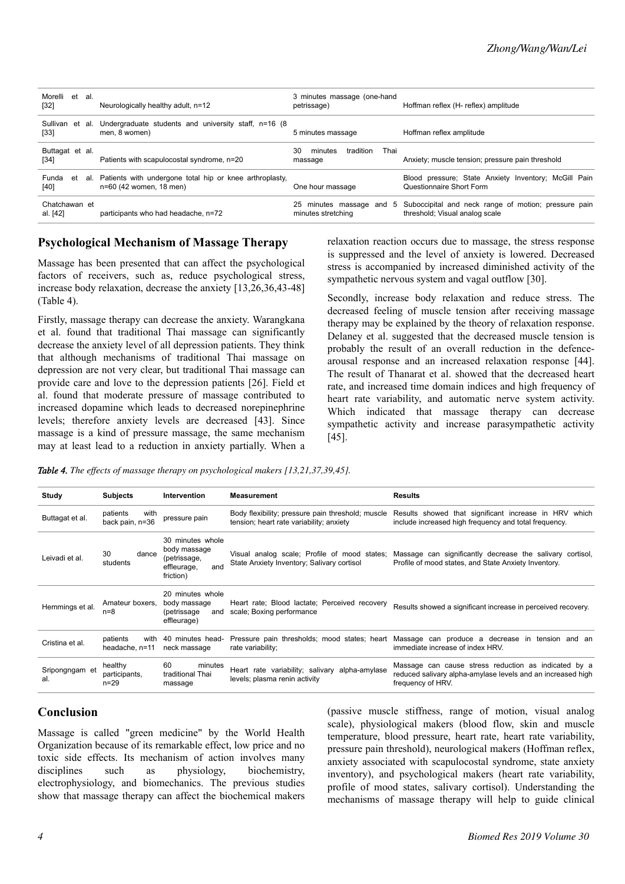| Morelli et al.<br>$[32]$  | Neurologically healthy adult, n=12                                                        | 3 minutes massage (one-hand<br>petrissage)     | Hoffman reflex (H- reflex) amplitude                                                   |
|---------------------------|-------------------------------------------------------------------------------------------|------------------------------------------------|----------------------------------------------------------------------------------------|
| Sullivan<br>$[33]$        | et al. Undergraduate students and university staff, n=16 (8)<br>men, 8 women)             | 5 minutes massage                              | Hoffman reflex amplitude                                                               |
| Buttagat et al.<br>$[34]$ | Patients with scapulocostal syndrome, n=20                                                | 30<br>tradition<br>Thai<br>minutes<br>massage  | Anxiety; muscle tension; pressure pain threshold                                       |
| Funda<br>$[40]$           | et al. Patients with undergone total hip or knee arthroplasty,<br>n=60 (42 women, 18 men) | One hour massage                               | Blood pressure; State Anxiety Inventory; McGill Pain<br>Questionnaire Short Form       |
| Chatchawan et<br>al. [42] | participants who had headache, n=72                                                       | 25 minutes massage and 5<br>minutes stretching | Suboccipital and neck range of motion; pressure pain<br>threshold; Visual analog scale |

### **Psychological Mechanism of Massage Therapy**

Massage has been presented that can affect the psychological factors of receivers, such as, reduce psychological stress, increase body relaxation, decrease the anxiety [13,26,36,43-48] (Table 4).

Firstly, massage therapy can decrease the anxiety. Warangkana et al. found that traditional Thai massage can significantly decrease the anxiety level of all depression patients. They think that although mechanisms of traditional Thai massage on depression are not very clear, but traditional Thai massage can provide care and love to the depression patients [26]. Field et al. found that moderate pressure of massage contributed to increased dopamine which leads to decreased norepinephrine levels; therefore anxiety levels are decreased [43]. Since massage is a kind of pressure massage, the same mechanism may at least lead to a reduction in anxiety partially. When a relaxation reaction occurs due to massage, the stress response is suppressed and the level of anxiety is lowered. Decreased stress is accompanied by increased diminished activity of the sympathetic nervous system and vagal outflow [30].

Secondly, increase body relaxation and reduce stress. The decreased feeling of muscle tension after receiving massage therapy may be explained by the theory of relaxation response. Delaney et al. suggested that the decreased muscle tension is probably the result of an overall reduction in the defencearousal response and an increased relaxation response [44]. The result of Thanarat et al. showed that the decreased heart rate, and increased time domain indices and high frequency of heart rate variability, and automatic nerve system activity. Which indicated that massage therapy can decrease sympathetic activity and increase parasympathetic activity [45].

*Table 4. The effects of massage therapy on psychological makers [13,21,37,39,45].*

| Study                 | <b>Subjects</b>                      | <b>Intervention</b>                                                                 | <b>Measurement</b>                                                                            | <b>Results</b>                                                                                                                           |
|-----------------------|--------------------------------------|-------------------------------------------------------------------------------------|-----------------------------------------------------------------------------------------------|------------------------------------------------------------------------------------------------------------------------------------------|
| Buttagat et al.       | patients<br>with<br>back pain, n=36  | pressure pain                                                                       | Body flexibility; pressure pain threshold; muscle<br>tension; heart rate variability; anxiety | Results showed that significant increase in HRV which<br>include increased high frequency and total frequency.                           |
| Leivadi et al.        | 30<br>dance<br>students              | 30 minutes whole<br>body massage<br>(petrissage,<br>and<br>effleurage,<br>friction) | Visual analog scale; Profile of mood states;<br>State Anxiety Inventory; Salivary cortisol    | Massage can significantly decrease the salivary cortisol,<br>Profile of mood states, and State Anxiety Inventory.                        |
| Hemmings et al.       | Amateur boxers,<br>$n=8$             | 20 minutes whole<br>body massage<br>(petrissage)<br>and<br>effleurage)              | Heart rate; Blood lactate; Perceived recovery<br>scale; Boxing performance                    | Results showed a significant increase in perceived recovery.                                                                             |
| Cristina et al.       | patients<br>with<br>headache, n=11   | 40 minutes head-<br>neck massage                                                    | rate variability;                                                                             | Pressure pain thresholds; mood states; heart Massage can produce a decrease in tension and an<br>immediate increase of index HRV.        |
| Sripongngam et<br>al. | healthy<br>participants,<br>$n = 29$ | 60<br>minutes<br>traditional Thai<br>massage                                        | Heart rate variability; salivary alpha-amylase<br>levels; plasma renin activity               | Massage can cause stress reduction as indicated by a<br>reduced salivary alpha-amylase levels and an increased high<br>frequency of HRV. |

### **Conclusion**

Massage is called "green medicine" by the World Health Organization because of its remarkable effect, low price and no toxic side effects. Its mechanism of action involves many disciplines such as physiology, biochemistry, electrophysiology, and biomechanics. The previous studies show that massage therapy can affect the biochemical makers

(passive muscle stiffness, range of motion, visual analog scale), physiological makers (blood flow, skin and muscle temperature, blood pressure, heart rate, heart rate variability, pressure pain threshold), neurological makers (Hoffman reflex, anxiety associated with scapulocostal syndrome, state anxiety inventory), and psychological makers (heart rate variability, profile of mood states, salivary cortisol). Understanding the mechanisms of massage therapy will help to guide clinical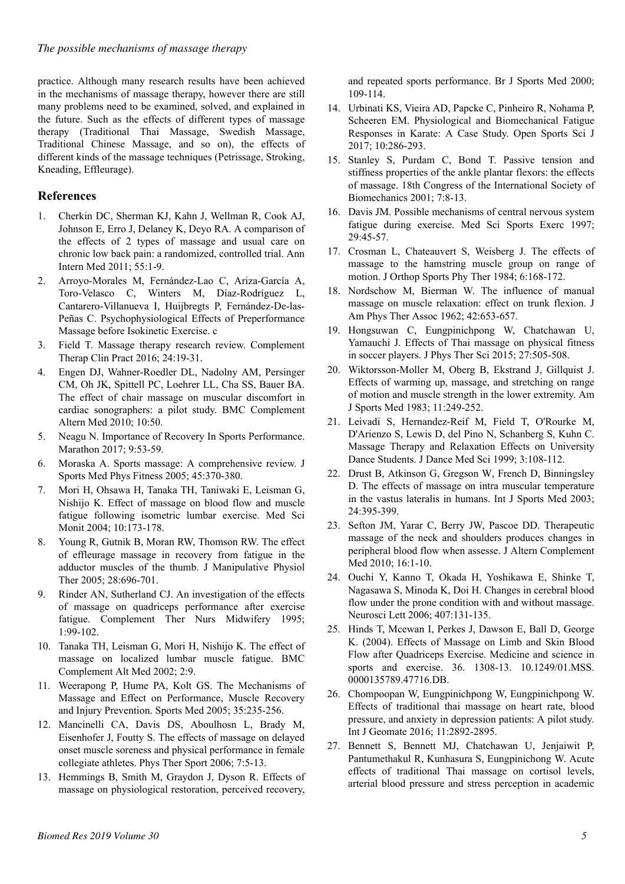practice. Although many research results have been achieved in the mechanisms of massage therapy, however there are still many problems need to be examined, solved, and explained in the future. Such as the effects of different types of massage therapy (Traditional Thai Massage, Swedish Massage, Traditional Chinese Massage, and so on), the effects of different kinds of the massage techniques (Petrissage, Stroking, Kneading, Effleurage).

## **References**

- 1. Cherkin DC, Sherman KJ, Kahn J, Wellman R, Cook AJ, Johnson E, Erro J, Delaney K, Deyo RA. A comparison of the effects of 2 types of massage and usual care on chronic low back pain: a randomized, controlled trial. Ann Intern Med 2011; 55:1-9.
- 2. Arroyo-Morales M, Fernández-Lao C, Ariza-García A, Toro-Velasco C, Winters M, Díaz-Rodríguez L, Cantarero-Villanueva I, Huijbregts P, Fernández-De-las-Peñas C. Psychophysiological Effects of Preperformance Massage before Isokinetic Exercise. c
- 3. Field T. Massage therapy research review. Complement Therap Clin Pract 2016; 24:19-31.
- 4. Engen DJ, Wahner-Roedler DL, Nadolny AM, Persinger CM, Oh JK, Spittell PC, Loehrer LL, Cha SS, Bauer BA. The effect of chair massage on muscular discomfort in cardiac sonographers: a pilot study. BMC Complement Altern Med 2010; 10:50.
- 5. Neagu N. Importance of Recovery In Sports Performance. Marathon 2017; 9:53-59.
- 6. Moraska A. Sports massage: A comprehensive review. J Sports Med Phys Fitness 2005; 45:370-380.
- 7. Mori H, Ohsawa H, Tanaka TH, Taniwaki E, Leisman G, Nishijo K. Effect of massage on blood flow and muscle fatigue following isometric lumbar exercise. Med Sci Monit 2004; 10:173-178.
- 8. Young R, Gutnik B, Moran RW, Thomson RW. The effect of effleurage massage in recovery from fatigue in the adductor muscles of the thumb. J Manipulative Physiol Ther 2005; 28:696-701.
- 9. Rinder AN, Sutherland CJ. An investigation of the effects of massage on quadriceps performance after exercise fatigue. Complement Ther Nurs Midwifery 1995; 1:99-102.
- 10. Tanaka TH, Leisman G, Mori H, Nishijo K. The effect of massage on localized lumbar muscle fatigue. BMC Complement Alt Med 2002; 2:9.
- 11. Weerapong P, Hume PA, Kolt GS. The Mechanisms of Massage and Effect on Performance, Muscle Recovery and Injury Prevention. Sports Med 2005; 35:235-256.
- 12. Mancinelli CA, Davis DS, Aboulhosn L, Brady M, Eisenhofer J, Foutty S. The effects of massage on delayed onset muscle soreness and physical performance in female collegiate athletes. Phys Ther Sport 2006; 7:5-13.
- 13. Hemmings B, Smith M, Graydon J, Dyson R. Effects of massage on physiological restoration, perceived recovery,

and repeated sports performance. Br J Sports Med 2000; 109-114.

- 14. Urbinati KS, Vieira AD, Papcke C, Pinheiro R, Nohama P, Scheeren EM. Physiological and Biomechanical Fatigue Responses in Karate: A Case Study. Open Sports Sci J 2017; 10:286-293.
- 15. Stanley S, Purdam C, Bond T. Passive tension and stiffness properties of the ankle plantar flexors: the effects of massage. 18th Congress of the International Society of Biomechanics 2001; 7:8-13.
- 16. Davis JM. Possible mechanisms of central nervous system fatigue during exercise. Med Sci Sports Exerc 1997; 29:45-57.
- 17. Crosman L, Chateauvert S, Weisberg J. The effects of massage to the hamstring muscle group on range of motion. J Orthop Sports Phy Ther 1984; 6:168-172.
- 18. Nordschow M, Bierman W. The influence of manual massage on muscle relaxation: effect on trunk flexion. [J](https://www.ncbi.nlm.nih.gov/pubmed/13938912) [Am Phys Ther Assoc](https://www.ncbi.nlm.nih.gov/pubmed/13938912) 1962; 42:653-657.
- 19. Hongsuwan C, Eungpinichpong W, Chatchawan U, Yamauchi J. Effects of Thai massage on physical fitness in soccer players. J Phys Ther Sci 2015; 27:505-508.
- 20. Wiktorsson-Moller M, Oberg B, Ekstrand J, Gillquist J. Effects of warming up, massage, and stretching on range of motion and muscle strength in the lower extremity. Am J Sports Med 1983; 11:249-252.
- 21. Leivadi S, Hernandez-Reif M, Field T, O'Rourke M, D'Arienzo S, Lewis D, del Pino N, Schanberg S, Kuhn C. Massage Therapy and Relaxation Effects on University Dance Students. J Dance Med Sci 1999; 3:108-112.
- 22. [Drust](https://www.ncbi.nlm.nih.gov/pubmed/?term=Drust%20B%5BAuthor%5D&cauthor=true&cauthor_uid=12905085) B, [Atkinson G,](https://www.ncbi.nlm.nih.gov/pubmed/?term=Atkinson%20G%5BAuthor%5D&cauthor=true&cauthor_uid=12905085) [Gregson](https://www.ncbi.nlm.nih.gov/pubmed/?term=Gregson%20W%5BAuthor%5D&cauthor=true&cauthor_uid=12905085) W, [French D](https://www.ncbi.nlm.nih.gov/pubmed/?term=French%20D%5BAuthor%5D&cauthor=true&cauthor_uid=12905085), [Binningsley](https://www.ncbi.nlm.nih.gov/pubmed/?term=Binningsley%20D%5BAuthor%5D&cauthor=true&cauthor_uid=12905085) [D.](https://www.ncbi.nlm.nih.gov/pubmed/?term=Binningsley%20D%5BAuthor%5D&cauthor=true&cauthor_uid=12905085) The effects of massage on intra muscular temperature in the vastus lateralis in humans. Int J Sports Med 2003; 24:395-399.
- 23. Sefton JM, Yarar C, Berry JW, Pascoe DD. Therapeutic massage of the neck and shoulders produces changes in peripheral blood flow when assesse. J Altern Complement Med 2010; 16:1-10.
- 24. Ouchi Y, Kanno T, Okada H, Yoshikawa E, Shinke T, Nagasawa S, Minoda K, Doi H. Changes in cerebral blood flow under the prone condition with and without massage. Neurosci Lett 2006; 407:131-135.
- 25. Hinds T, Mcewan I, Perkes J, Dawson E, Ball D, George K. (2004). Effects of Massage on Limb and Skin Blood Flow after Quadriceps Exercise. Medicine and science in sports and exercise. 36. 1308-13. 10.1249/01.MSS. 0000135789.47716.DB.
- 26. Chompoopan W, Eungpinichpong W, Eungpinichpong W. Effects of traditional thai massage on heart rate, blood pressure, and anxiety in depression patients: A pilot study. Int J Geomate 2016; 11:2892-2895.
- 27. Bennett S, Bennett MJ, Chatchawan U, Jenjaiwit P, Pantumethakul R, Kunhasura S, Eungpinichong W. Acute effects of traditional Thai massage on cortisol levels, arterial blood pressure and stress perception in academic